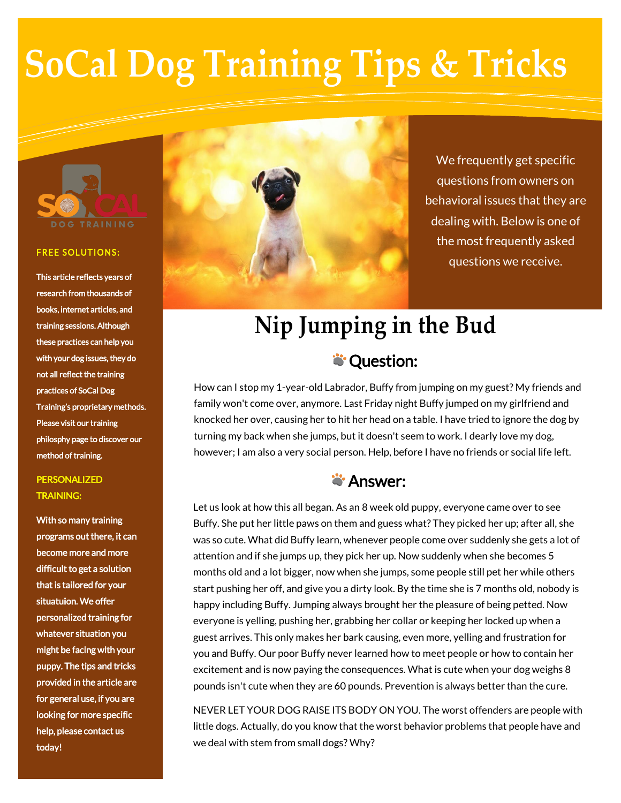# **SoCal Dog Training Tips & Tricks**



#### **FREE SOLUTIONS:**

This article reflects years of research from thousands of books, internet articles, and training sessions. Although these practices can help you with your dog issues, they do not all reflect the training practices of SoCal Dog Training's proprietary methods. Please visit our training philosphy page to discover our method of training.

### **PERSONALIZED** TRAINING:

With so many training programs out there, it can become more and more difficult to get a solution that is tailored for your situatuion. We offer personalized training for whatever situation you might be facing with your puppy. The tips and tricks provided in the article are for general use, if you are looking for more specific help, please contact us today!



We frequently get specific questions from owners on behavioral issues that they are dealing with. Below is one of the most frequently asked questions we receive.

## **Nip Jumping in the Bud S**: Question:

How can I stop my 1-year-old Labrador, Buffy from jumping on my guest? My friends and family won't come over, anymore. Last Friday night Buffy jumped on my girlfriend and knocked her over, causing her to hit her head on a table. I have tried to ignore the dog by turning my back when she jumps, but it doesn't seem to work. I dearly love my dog, however; I am also a very social person. Help, before I have no friends or social life left.

### **S**'Answer:

Let us look at how this all began. As an 8 week old puppy, everyone came over to see Buffy. She put her little paws on them and guess what? They picked her up; after all, she was so cute. What did Buffy learn, whenever people come over suddenly she gets a lot of attention and if she jumps up, they pick her up. Now suddenly when she becomes 5 months old and a lot bigger, now when she jumps, some people still pet her while others start pushing her off, and give you a dirty look. By the time she is 7 months old, nobody is happy including Buffy. Jumping always brought her the pleasure of being petted. Now everyone is yelling, pushing her, grabbing her collar or keeping her locked up when a guest arrives. This only makes her bark causing, even more, yelling and frustration for you and Buffy. Our poor Buffy never learned how to meet people or how to contain her excitement and is now paying the consequences. What is cute when your dog weighs 8 pounds isn't cute when they are 60 pounds. Prevention is always better than the cure.

NEVER LET YOUR DOG RAISE ITS BODY ON YOU. The worst offenders are people with little dogs. Actually, do you know that the worst behavior problems that people have and we deal with stem from small dogs? Why?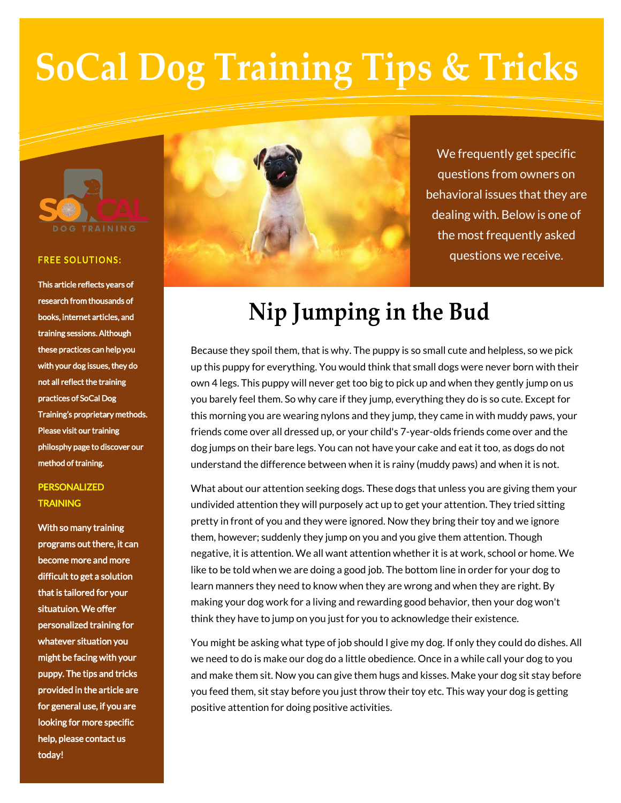# **SoCal Dog Training Tips & Tricks**



#### **FREE SOLUTIONS:**

This article reflects years of research from thousands of books, internet articles, and training sessions. Although these practices can help you with your dog issues, they do not all reflect the training practices of SoCal Dog Training's proprietary methods. Please visit our training philosphy page to discover our method of training.

### PERSONALIZED **TRAINING**

With so many training programs out there, it can become more and more difficult to get a solution that is tailored for your situatuion. We offer personalized training for whatever situation you might be facing with your puppy. The tips and tricks provided in the article are for general use, if you are looking for more specific help, please contact us today!



We frequently get specific questions from owners on behavioral issues that they are dealing with. Below is one of the most frequently asked questions we receive.

## **Nip Jumping in the Bud**

Because they spoil them, that is why. The puppy is so small cute and helpless, so we pick up this puppy for everything. You would think that small dogs were never born with their own 4 legs. This puppy will never get too big to pick up and when they gently jump on us you barely feel them. So why care if they jump, everything they do is so cute. Except for this morning you are wearing nylons and they jump, they came in with muddy paws, your friends come over all dressed up, or your child's 7-year-olds friends come over and the dog jumps on their bare legs. You can not have your cake and eat it too, as dogs do not understand the difference between when it is rainy (muddy paws) and when it is not.

What about our attention seeking dogs. These dogs that unless you are giving them your undivided attention they will purposely act up to get your attention. They tried sitting pretty in front of you and they were ignored. Now they bring their toy and we ignore them, however; suddenly they jump on you and you give them attention. Though negative, it is attention. We all want attention whether it is at work, school or home. We like to be told when we are doing a good job. The bottom line in order for your dog to learn manners they need to know when they are wrong and when they are right. By making your dog work for a living and rewarding good behavior, then your dog won't think they have to jump on you just for you to acknowledge their existence.

You might be asking what type of job should I give my dog. If only they could do dishes. All we need to do is make our dog do a little obedience. Once in a while call your dog to you and make them sit. Now you can give them hugs and kisses. Make your dog sit stay before you feed them, sit stay before you just throw their toy etc. This way your dog is getting positive attention for doing positive activities.